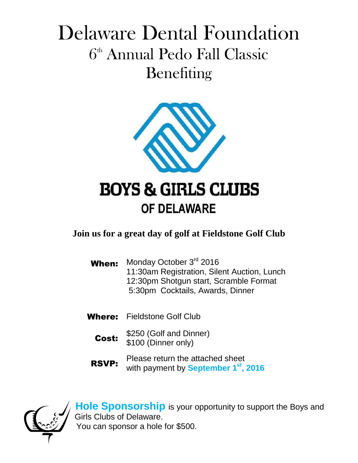## Delaware Dental Foundation  $6<sup>th</sup>$  Annual Pedo Fall Classic Benefiting



**Join us for a great day of golf at Fieldstone Golf Club**

- When: Monday October 3<sup>rd</sup> 2016 11:30am Registration, Silent Auction, Lunch 12:30pm Shotgun start, Scramble Format 5:30pm Cocktails, Awards, Dinner
- Where: Fieldstone Golf Club
	- Cost: \$250 (Golf and Dinner) \$100 (Dinner only)
	- RSVP: Please return the attached sheet with payment by **September 1st, 2016**



**Hole Sponsorship** is your opportunity to support the Boys and Girls Clubs of Delaware. You can sponsor a hole for \$500.